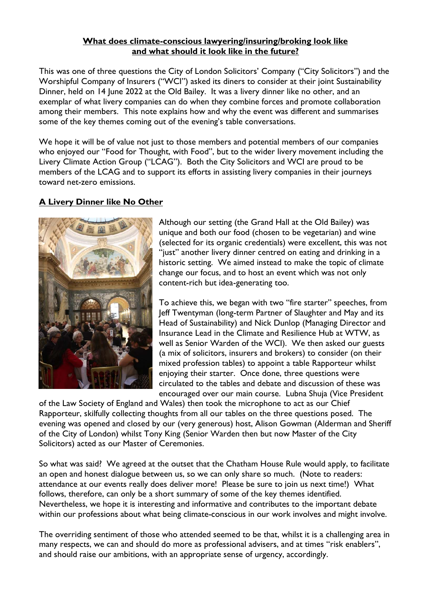#### What does climate-conscious lawyering/insuring/broking look like and what should it look like in the future?

This was one of three questions the City of London Solicitors' Company ("City Solicitors") and the Worshipful Company of Insurers ("WCI") asked its diners to consider at their joint Sustainability Dinner, held on 14 June 2022 at the Old Bailey. It was a livery dinner like no other, and an exemplar of what livery companies can do when they combine forces and promote collaboration among their members. This note explains how and why the event was different and summarises some of the key themes coming out of the evening's table conversations.

We hope it will be of value not just to those members and potential members of our companies who enjoyed our "Food for Thought, with Food", but to the wider livery movement including the Livery Climate Action Group ("LCAG"). Both the City Solicitors and WCI are proud to be members of the LCAG and to support its efforts in assisting livery companies in their journeys toward net-zero emissions.

## A Livery Dinner like No Other



Although our setting (the Grand Hall at the Old Bailey) was unique and both our food (chosen to be vegetarian) and wine (selected for its organic credentials) were excellent, this was not "just" another livery dinner centred on eating and drinking in a historic setting. We aimed instead to make the topic of climate change our focus, and to host an event which was not only content-rich but idea-generating too.

To achieve this, we began with two "fire starter" speeches, from Jeff Twentyman (long-term Partner of Slaughter and May and its Head of Sustainability) and Nick Dunlop (Managing Director and Insurance Lead in the Climate and Resilience Hub at WTW, as well as Senior Warden of the WCI). We then asked our guests (a mix of solicitors, insurers and brokers) to consider (on their mixed profession tables) to appoint a table Rapporteur whilst enjoying their starter. Once done, three questions were circulated to the tables and debate and discussion of these was encouraged over our main course. Lubna Shuja (Vice President

of the Law Society of England and Wales) then took the microphone to act as our Chief Rapporteur, skilfully collecting thoughts from all our tables on the three questions posed. The evening was opened and closed by our (very generous) host, Alison Gowman (Alderman and Sheriff of the City of London) whilst Tony King (Senior Warden then but now Master of the City Solicitors) acted as our Master of Ceremonies.

So what was said? We agreed at the outset that the Chatham House Rule would apply, to facilitate an open and honest dialogue between us, so we can only share so much. (Note to readers: attendance at our events really does deliver more! Please be sure to join us next time!) What follows, therefore, can only be a short summary of some of the key themes identified. Nevertheless, we hope it is interesting and informative and contributes to the important debate within our professions about what being climate-conscious in our work involves and might involve.

The overriding sentiment of those who attended seemed to be that, whilst it is a challenging area in many respects, we can and should do more as professional advisers, and at times "risk enablers", and should raise our ambitions, with an appropriate sense of urgency, accordingly.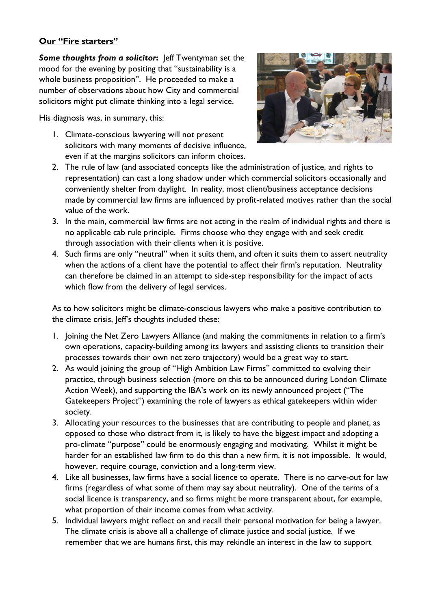### Our "Fire starters"

Some thoughts from a solicitor: Jeff Twentyman set the mood for the evening by positing that "sustainability is a whole business proposition". He proceeded to make a number of observations about how City and commercial solicitors might put climate thinking into a legal service.

His diagnosis was, in summary, this:

1. Climate-conscious lawyering will not present solicitors with many moments of decisive influence, even if at the margins solicitors can inform choices.



- 2. The rule of law (and associated concepts like the administration of justice, and rights to representation) can cast a long shadow under which commercial solicitors occasionally and conveniently shelter from daylight. In reality, most client/business acceptance decisions made by commercial law firms are influenced by profit-related motives rather than the social value of the work.
- 3. In the main, commercial law firms are not acting in the realm of individual rights and there is no applicable cab rule principle. Firms choose who they engage with and seek credit through association with their clients when it is positive.
- 4. Such firms are only "neutral" when it suits them, and often it suits them to assert neutrality when the actions of a client have the potential to affect their firm's reputation. Neutrality can therefore be claimed in an attempt to side-step responsibility for the impact of acts which flow from the delivery of legal services.

As to how solicitors might be climate-conscious lawyers who make a positive contribution to the climate crisis, Jeff's thoughts included these:

- 1. Joining the Net Zero Lawyers Alliance (and making the commitments in relation to a firm's own operations, capacity-building among its lawyers and assisting clients to transition their processes towards their own net zero trajectory) would be a great way to start.
- 2. As would joining the group of "High Ambition Law Firms" committed to evolving their practice, through business selection (more on this to be announced during London Climate Action Week), and supporting the IBA's work on its newly announced project ("The Gatekeepers Project") examining the role of lawyers as ethical gatekeepers within wider society.
- 3. Allocating your resources to the businesses that are contributing to people and planet, as opposed to those who distract from it, is likely to have the biggest impact and adopting a pro-climate "purpose" could be enormously engaging and motivating. Whilst it might be harder for an established law firm to do this than a new firm, it is not impossible. It would, however, require courage, conviction and a long-term view.
- 4. Like all businesses, law firms have a social licence to operate. There is no carve-out for law firms (regardless of what some of them may say about neutrality). One of the terms of a social licence is transparency, and so firms might be more transparent about, for example, what proportion of their income comes from what activity.
- 5. Individual lawyers might reflect on and recall their personal motivation for being a lawyer. The climate crisis is above all a challenge of climate justice and social justice. If we remember that we are humans first, this may rekindle an interest in the law to support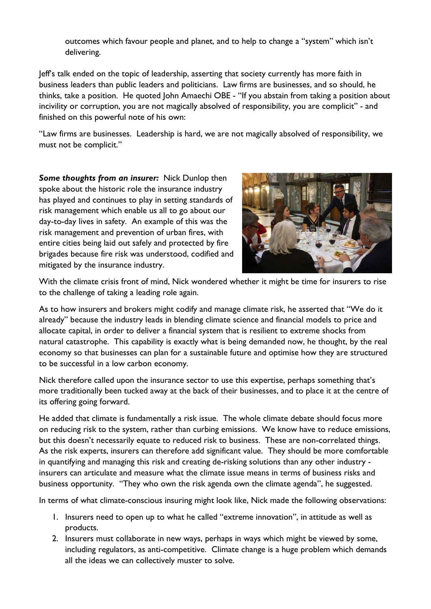outcomes which favour people and planet, and to help to change a "system" which isn't delivering.

Jeff's talk ended on the topic of leadership, asserting that society currently has more faith in business leaders than public leaders and politicians. Law firms are businesses, and so should, he thinks, take a position. He quoted John Amaechi OBE - "If you abstain from taking a position about incivility or corruption, you are not magically absolved of responsibility, you are complicit" - and finished on this powerful note of his own:

"Law firms are businesses. Leadership is hard, we are not magically absolved of responsibility, we must not be complicit."

Some thoughts from an insurer: Nick Dunlop then spoke about the historic role the insurance industry has played and continues to play in setting standards of risk management which enable us all to go about our day-to-day lives in safety. An example of this was the risk management and prevention of urban fires, with entire cities being laid out safely and protected by fire brigades because fire risk was understood, codified and mitigated by the insurance industry.



With the climate crisis front of mind, Nick wondered whether it might be time for insurers to rise to the challenge of taking a leading role again.

As to how insurers and brokers might codify and manage climate risk, he asserted that "We do it already" because the industry leads in blending climate science and financial models to price and allocate capital, in order to deliver a financial system that is resilient to extreme shocks from natural catastrophe. This capability is exactly what is being demanded now, he thought, by the real economy so that businesses can plan for a sustainable future and optimise how they are structured to be successful in a low carbon economy.

Nick therefore called upon the insurance sector to use this expertise, perhaps something that's more traditionally been tucked away at the back of their businesses, and to place it at the centre of its offering going forward.

He added that climate is fundamentally a risk issue. The whole climate debate should focus more on reducing risk to the system, rather than curbing emissions. We know have to reduce emissions, but this doesn't necessarily equate to reduced risk to business. These are non-correlated things. As the risk experts, insurers can therefore add significant value. They should be more comfortable in quantifying and managing this risk and creating de-risking solutions than any other industry insurers can articulate and measure what the climate issue means in terms of business risks and business opportunity. "They who own the risk agenda own the climate agenda", he suggested.

In terms of what climate-conscious insuring might look like, Nick made the following observations:

- 1. Insurers need to open up to what he called "extreme innovation", in attitude as well as products.
- 2. Insurers must collaborate in new ways, perhaps in ways which might be viewed by some, including regulators, as anti-competitive. Climate change is a huge problem which demands all the ideas we can collectively muster to solve.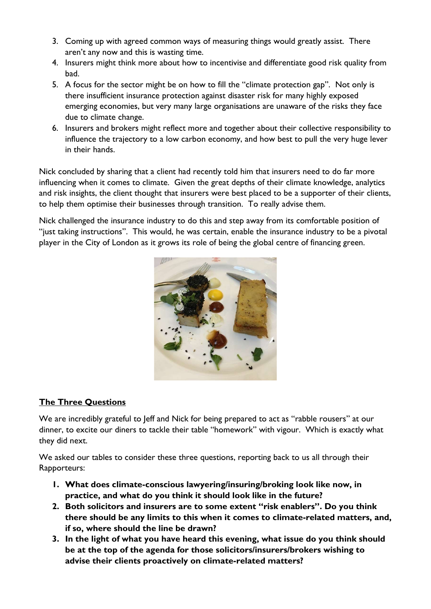- 3. Coming up with agreed common ways of measuring things would greatly assist. There aren't any now and this is wasting time.
- 4. Insurers might think more about how to incentivise and differentiate good risk quality from bad.
- 5. A focus for the sector might be on how to fill the "climate protection gap". Not only is there insufficient insurance protection against disaster risk for many highly exposed emerging economies, but very many large organisations are unaware of the risks they face due to climate change.
- 6. Insurers and brokers might reflect more and together about their collective responsibility to influence the trajectory to a low carbon economy, and how best to pull the very huge lever in their hands.

Nick concluded by sharing that a client had recently told him that insurers need to do far more influencing when it comes to climate. Given the great depths of their climate knowledge, analytics and risk insights, the client thought that insurers were best placed to be a supporter of their clients, to help them optimise their businesses through transition. To really advise them.

Nick challenged the insurance industry to do this and step away from its comfortable position of "just taking instructions". This would, he was certain, enable the insurance industry to be a pivotal player in the City of London as it grows its role of being the global centre of financing green.



# The Three Questions

We are incredibly grateful to Jeff and Nick for being prepared to act as "rabble rousers" at our dinner, to excite our diners to tackle their table "homework" with vigour. Which is exactly what they did next.

We asked our tables to consider these three questions, reporting back to us all through their Rapporteurs:

- 1. What does climate-conscious lawyering/insuring/broking look like now, in practice, and what do you think it should look like in the future?
- 2. Both solicitors and insurers are to some extent "risk enablers". Do you think there should be any limits to this when it comes to climate-related matters, and, if so, where should the line be drawn?
- 3. In the light of what you have heard this evening, what issue do you think should be at the top of the agenda for those solicitors/insurers/brokers wishing to advise their clients proactively on climate-related matters?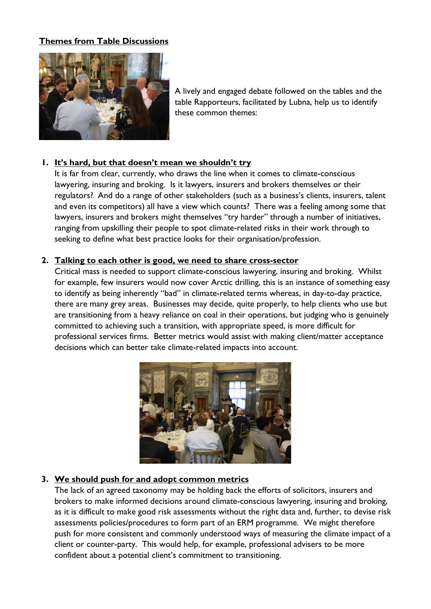### Themes from Table Discussions



A lively and engaged debate followed on the tables and the table Rapporteurs, facilitated by Lubna, help us to identify these common themes:

### 1. It's hard, but that doesn't mean we shouldn't try

It is far from clear, currently, who draws the line when it comes to climate-conscious lawyering, insuring and broking. Is it lawyers, insurers and brokers themselves or their regulators? And do a range of other stakeholders (such as a business's clients, insurers, talent and even its competitors) all have a view which counts? There was a feeling among some that lawyers, insurers and brokers might themselves "try harder" through a number of initiatives, ranging from upskilling their people to spot climate-related risks in their work through to seeking to define what best practice looks for their organisation/profession.

#### 2. Talking to each other is good, we need to share cross-sector

Critical mass is needed to support climate-conscious lawyering, insuring and broking. Whilst for example, few insurers would now cover Arctic drilling, this is an instance of something easy to identify as being inherently "bad" in climate-related terms whereas, in day-to-day practice, there are many grey areas. Businesses may decide, quite properly, to help clients who use but are transitioning from a heavy reliance on coal in their operations, but judging who is genuinely committed to achieving such a transition, with appropriate speed, is more difficult for professional services firms. Better metrics would assist with making client/matter acceptance decisions which can better take climate-related impacts into account.



### 3. We should push for and adopt common metrics

The lack of an agreed taxonomy may be holding back the efforts of solicitors, insurers and brokers to make informed decisions around climate-conscious lawyering, insuring and broking, as it is difficult to make good risk assessments without the right data and, further, to devise risk assessments policies/procedures to form part of an ERM programme. We might therefore push for more consistent and commonly understood ways of measuring the climate impact of a client or counter-party. This would help, for example, professional advisers to be more confident about a potential client's commitment to transitioning.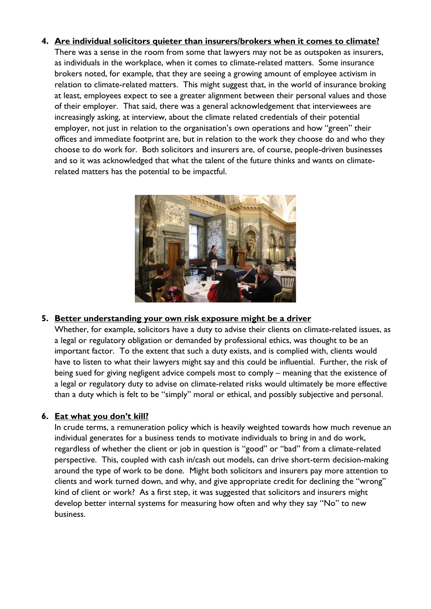### 4. Are individual solicitors quieter than insurers/brokers when it comes to climate?

There was a sense in the room from some that lawyers may not be as outspoken as insurers, as individuals in the workplace, when it comes to climate-related matters. Some insurance brokers noted, for example, that they are seeing a growing amount of employee activism in relation to climate-related matters. This might suggest that, in the world of insurance broking at least, employees expect to see a greater alignment between their personal values and those of their employer. That said, there was a general acknowledgement that interviewees are increasingly asking, at interview, about the climate related credentials of their potential employer, not just in relation to the organisation's own operations and how "green" their offices and immediate footprint are, but in relation to the work they choose do and who they choose to do work for. Both solicitors and insurers are, of course, people-driven businesses and so it was acknowledged that what the talent of the future thinks and wants on climaterelated matters has the potential to be impactful.



#### 5. Better understanding your own risk exposure might be a driver

Whether, for example, solicitors have a duty to advise their clients on climate-related issues, as a legal or regulatory obligation or demanded by professional ethics, was thought to be an important factor. To the extent that such a duty exists, and is complied with, clients would have to listen to what their lawyers might say and this could be influential. Further, the risk of being sued for giving negligent advice compels most to comply – meaning that the existence of a legal or regulatory duty to advise on climate-related risks would ultimately be more effective than a duty which is felt to be "simply" moral or ethical, and possibly subjective and personal.

### 6. Eat what you don't kill?

In crude terms, a remuneration policy which is heavily weighted towards how much revenue an individual generates for a business tends to motivate individuals to bring in and do work, regardless of whether the client or job in question is "good" or "bad" from a climate-related perspective. This, coupled with cash in/cash out models, can drive short-term decision-making around the type of work to be done. Might both solicitors and insurers pay more attention to clients and work turned down, and why, and give appropriate credit for declining the "wrong" kind of client or work? As a first step, it was suggested that solicitors and insurers might develop better internal systems for measuring how often and why they say "No" to new business.